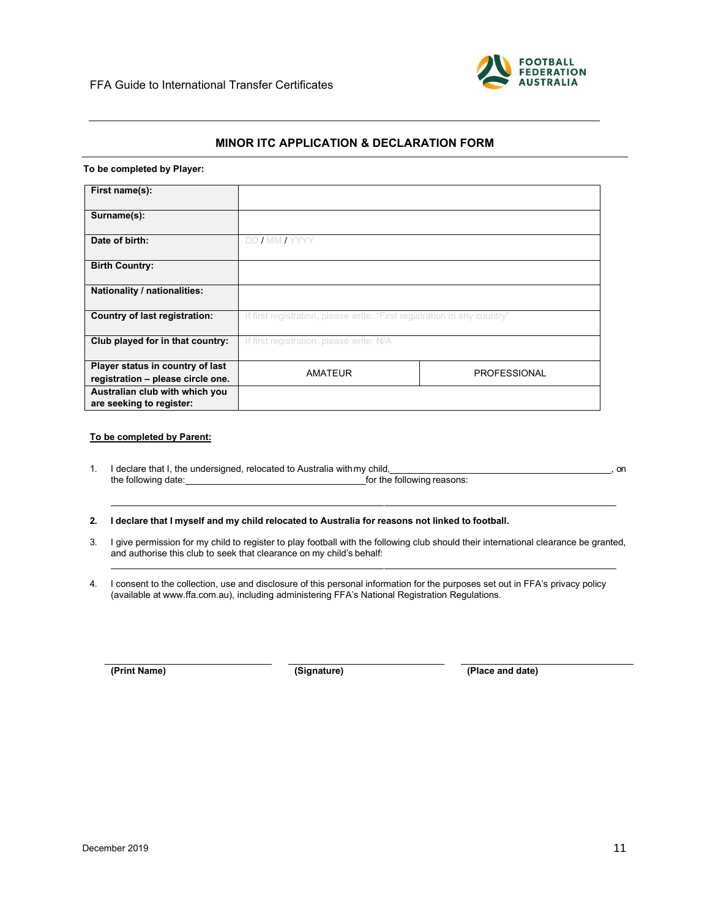

# **MINOR ITC APPLICATION & DECLARATION FORM**

### **To be completed by Player:**

| First name(s):                                                        |                                                                           |                     |
|-----------------------------------------------------------------------|---------------------------------------------------------------------------|---------------------|
| Surname(s):                                                           |                                                                           |                     |
| Date of birth:                                                        | DD / MM / YYYY                                                            |                     |
| <b>Birth Country:</b>                                                 |                                                                           |                     |
| Nationality / nationalities:                                          |                                                                           |                     |
| <b>Country of last registration:</b>                                  | If first registration, please write: "First registration in any country". |                     |
| Club played for in that country:                                      | If first registration, please write: N/A                                  |                     |
| Player status in country of last<br>registration - please circle one. | <b>AMATEUR</b>                                                            | <b>PROFESSIONAL</b> |
| Australian club with which you<br>are seeking to register:            |                                                                           |                     |

#### **To be completed by Parent:**

1. I declare that I, the undersigned, relocated to Australia with my child,<br>the following reasons:<br>for the following reasons: for the following reasons:

**2. I declare that I myself and my child relocated to Australia for reasons not linked to football.**

- 3. I give permission for my child to register to play football with the following club should their international clearance be granted, and authorise this club to seek that clearance on my child's behalf:
- 4. I consent to the collection, use and disclosure of this personal information for the purposes set out in FFA's privacy policy (available at www.ffa.com.au), including administering FFA's National Registration Regulations.

**(Print Name) (Signature) (Place and date)**